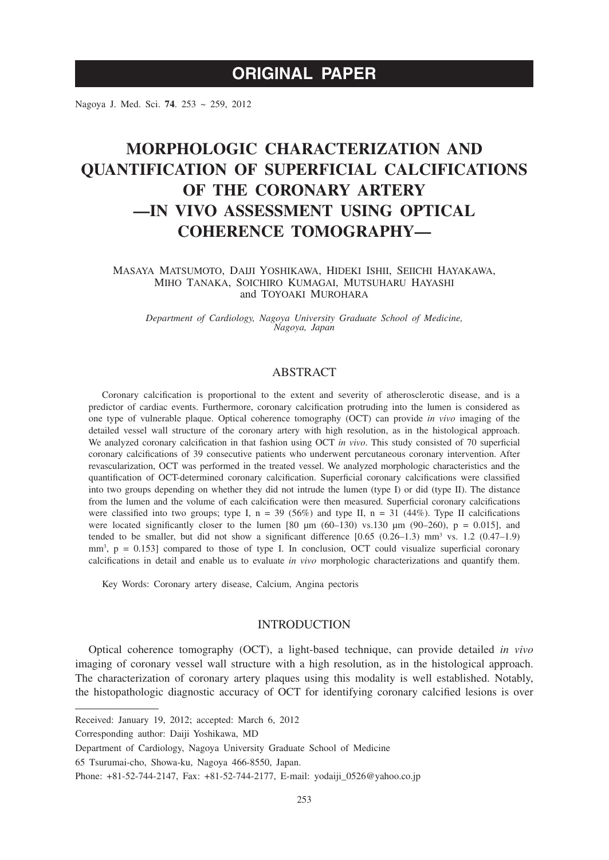## **ORIGINAL PAPER**

Nagoya J. Med. Sci. **74**. 253 ~ 259, 2012

# **MORPHOLOGIC CHARACTERIZATION AND QUANTIFICATION OF SUPERFICIAL CALCIFICATIONS OF THE CORONARY ARTERY —IN VIVO ASSESSMENT USING OPTICAL COHERENCE TOMOGRAPHY—**

MASAYA MATSUMOTO, DAIJI YOSHIKAWA, HIDEKI ISHII, SEIICHI HAYAKAWA, MIHO TANAKA, SOICHIRO KUMAGAI, MUTSUHARU HAYASHI and TOYOAKI MUROHARA

*Department of Cardiology, Nagoya University Graduate School of Medicine, Nagoya, Japan*

## ABSTRACT

Coronary calcification is proportional to the extent and severity of atherosclerotic disease, and is a predictor of cardiac events. Furthermore, coronary calcification protruding into the lumen is considered as one type of vulnerable plaque. Optical coherence tomography (OCT) can provide *in vivo* imaging of the detailed vessel wall structure of the coronary artery with high resolution, as in the histological approach. We analyzed coronary calcification in that fashion using OCT *in vivo*. This study consisted of 70 superficial coronary calcifications of 39 consecutive patients who underwent percutaneous coronary intervention. After revascularization, OCT was performed in the treated vessel. We analyzed morphologic characteristics and the quantification of OCT-determined coronary calcification. Superficial coronary calcifications were classified into two groups depending on whether they did not intrude the lumen (type I) or did (type II). The distance from the lumen and the volume of each calcification were then measured. Superficial coronary calcifications were classified into two groups; type I,  $n = 39$  (56%) and type II,  $n = 31$  (44%). Type II calcifications were located significantly closer to the lumen  $[80 \mu m (60-130)$  vs.130  $\mu m (90-260)$ , p = 0.015], and tended to be smaller, but did not show a significant difference  $[0.65 (0.26-1.3)$  mm<sup>3</sup> vs. 1.2  $(0.47-1.9)$  $mm<sup>3</sup>$ ,  $p = 0.153$ ] compared to those of type I. In conclusion, OCT could visualize superficial coronary calcifications in detail and enable us to evaluate *in vivo* morphologic characterizations and quantify them.

Key Words: Coronary artery disease, Calcium, Angina pectoris

## INTRODUCTION

Optical coherence tomography (OCT), a light-based technique, can provide detailed *in vivo* imaging of coronary vessel wall structure with a high resolution, as in the histological approach. The characterization of coronary artery plaques using this modality is well established. Notably, the histopathologic diagnostic accuracy of OCT for identifying coronary calcified lesions is over

Received: January 19, 2012; accepted: March 6, 2012

Corresponding author: Daiji Yoshikawa, MD

Department of Cardiology, Nagoya University Graduate School of Medicine

<sup>65</sup> Tsurumai-cho, Showa-ku, Nagoya 466-8550, Japan.

Phone: +81-52-744-2147, Fax: +81-52-744-2177, E-mail: yodaiji 0526@yahoo.co.jp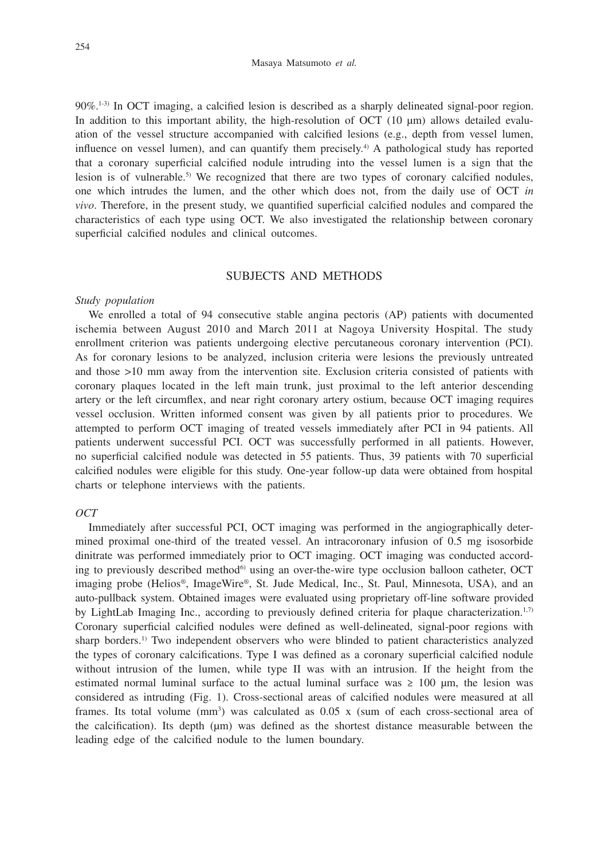$90\%$ <sup>1-3)</sup> In OCT imaging, a calcified lesion is described as a sharply delineated signal-poor region. In addition to this important ability, the high-resolution of OCT (10 μm) allows detailed evaluation of the vessel structure accompanied with calcified lesions (e.g., depth from vessel lumen, influence on vessel lumen), and can quantify them precisely.4) A pathological study has reported that a coronary superficial calcified nodule intruding into the vessel lumen is a sign that the lesion is of vulnerable.<sup>5)</sup> We recognized that there are two types of coronary calcified nodules, one which intrudes the lumen, and the other which does not, from the daily use of OCT *in vivo*. Therefore, in the present study, we quantified superficial calcified nodules and compared the characteristics of each type using OCT. We also investigated the relationship between coronary superficial calcified nodules and clinical outcomes.

### SUBJECTS AND METHODS

#### *Study population*

We enrolled a total of 94 consecutive stable angina pectoris (AP) patients with documented ischemia between August 2010 and March 2011 at Nagoya University Hospital. The study enrollment criterion was patients undergoing elective percutaneous coronary intervention (PCI). As for coronary lesions to be analyzed, inclusion criteria were lesions the previously untreated and those >10 mm away from the intervention site. Exclusion criteria consisted of patients with coronary plaques located in the left main trunk, just proximal to the left anterior descending artery or the left circumflex, and near right coronary artery ostium, because OCT imaging requires vessel occlusion. Written informed consent was given by all patients prior to procedures. We attempted to perform OCT imaging of treated vessels immediately after PCI in 94 patients. All patients underwent successful PCI. OCT was successfully performed in all patients. However, no superficial calcified nodule was detected in 55 patients. Thus, 39 patients with 70 superficial calcified nodules were eligible for this study. One-year follow-up data were obtained from hospital charts or telephone interviews with the patients.

## *OCT*

Immediately after successful PCI, OCT imaging was performed in the angiographically determined proximal one-third of the treated vessel. An intracoronary infusion of 0.5 mg isosorbide dinitrate was performed immediately prior to OCT imaging. OCT imaging was conducted according to previously described method<sup>6)</sup> using an over-the-wire type occlusion balloon catheter, OCT imaging probe (Helios®, ImageWire®, St. Jude Medical, Inc., St. Paul, Minnesota, USA), and an auto-pullback system. Obtained images were evaluated using proprietary off-line software provided by LightLab Imaging Inc., according to previously defined criteria for plaque characterization.<sup>1,7)</sup> Coronary superficial calcified nodules were defined as well-delineated, signal-poor regions with sharp borders.1) Two independent observers who were blinded to patient characteristics analyzed the types of coronary calcifications. Type I was defined as a coronary superficial calcified nodule without intrusion of the lumen, while type II was with an intrusion. If the height from the estimated normal luminal surface to the actual luminal surface was  $\geq 100$  µm, the lesion was considered as intruding (Fig. 1). Cross-sectional areas of calcified nodules were measured at all frames. Its total volume  $(mm<sup>3</sup>)$  was calculated as 0.05 x (sum of each cross-sectional area of the calcification). Its depth (µm) was defined as the shortest distance measurable between the leading edge of the calcified nodule to the lumen boundary.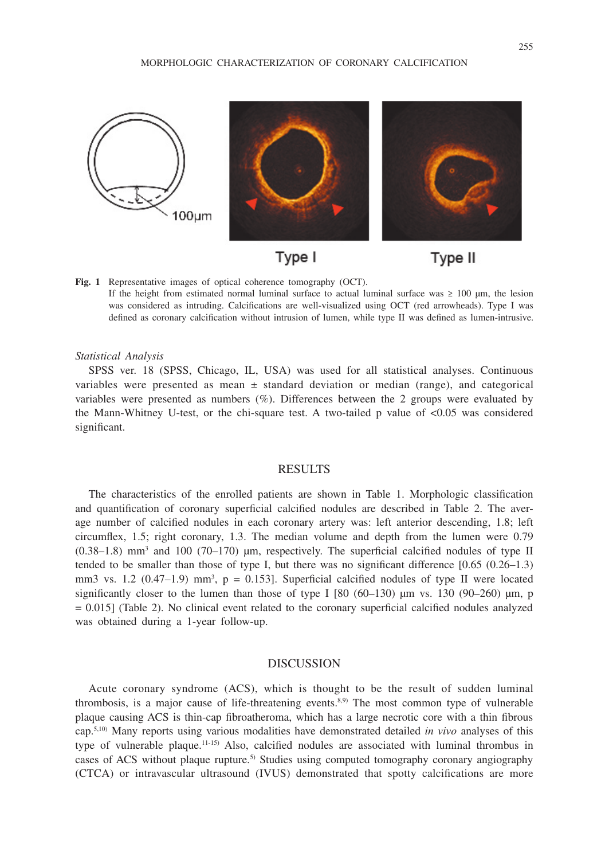

Type I



**Fig. 1** Representative images of optical coherence tomography (OCT). If the height from estimated normal luminal surface to actual luminal surface was  $\geq 100$  µm, the lesion was considered as intruding. Calcifications are well-visualized using OCT (red arrowheads). Type I was defined as coronary calcification without intrusion of lumen, while type II was defined as lumen-intrusive.

### *Statistical Analysis*

SPSS ver. 18 (SPSS, Chicago, IL, USA) was used for all statistical analyses. Continuous variables were presented as mean  $\pm$  standard deviation or median (range), and categorical variables were presented as numbers (%). Differences between the 2 groups were evaluated by the Mann-Whitney U-test, or the chi-square test. A two-tailed p value of <0.05 was considered significant.

## RESULTS

The characteristics of the enrolled patients are shown in Table 1. Morphologic classification and quantification of coronary superficial calcified nodules are described in Table 2. The average number of calcified nodules in each coronary artery was: left anterior descending, 1.8; left circumflex, 1.5; right coronary, 1.3. The median volume and depth from the lumen were 0.79  $(0.38-1.8)$  mm<sup>3</sup> and 100 (70-170)  $\mu$ m, respectively. The superficial calcified nodules of type II tended to be smaller than those of type I, but there was no significant difference [0.65 (0.26–1.3) mm3 vs.  $1.2$  (0.47–1.9) mm<sup>3</sup>,  $p = 0.153$ . Superficial calcified nodules of type II were located significantly closer to the lumen than those of type I  $[80 (60-130) \mu m$  vs. 130  $(90-260) \mu m$ , p = 0.015] (Table 2). No clinical event related to the coronary superficial calcified nodules analyzed was obtained during a 1-year follow-up.

### DISCUSSION

Acute coronary syndrome (ACS), which is thought to be the result of sudden luminal thrombosis, is a major cause of life-threatening events.8,9) The most common type of vulnerable plaque causing ACS is thin-cap fibroatheroma, which has a large necrotic core with a thin fibrous cap.5,10) Many reports using various modalities have demonstrated detailed *in vivo* analyses of this type of vulnerable plaque.11-15) Also, calcified nodules are associated with luminal thrombus in cases of ACS without plaque rupture.5) Studies using computed tomography coronary angiography (CTCA) or intravascular ultrasound (IVUS) demonstrated that spotty calcifications are more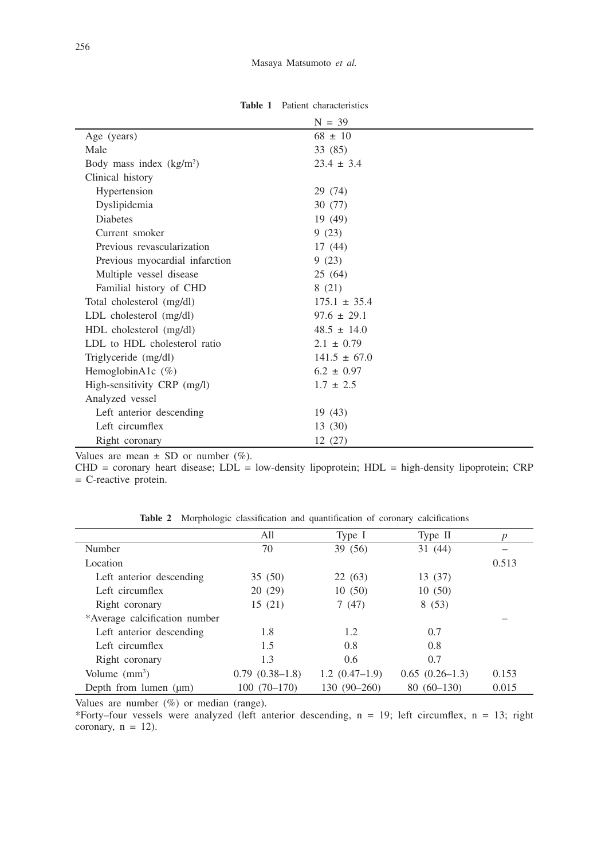| $N = 39$         |
|------------------|
| $68 \pm 10$      |
| 33 (85)          |
| $23.4 \pm 3.4$   |
|                  |
| 29 (74)          |
| 30 (77)          |
| 19(49)           |
| 9(23)            |
| 17(44)           |
| 9(23)            |
| 25(64)           |
| 8(21)            |
| $175.1 \pm 35.4$ |
| $97.6 \pm 29.1$  |
| $48.5 \pm 14.0$  |
| $2.1 \pm 0.79$   |
| $141.5 \pm 67.0$ |
| $6.2 \pm 0.97$   |
| $1.7 \pm 2.5$    |
|                  |
| 19(43)           |
| 13 (30)          |
| 12(27)           |
|                  |

**Table 1** Patient characteristics

Values are mean  $\pm$  SD or number (%).

CHD = coronary heart disease; LDL = low-density lipoprotein; HDL = high-density lipoprotein; CRP = C-reactive protein.

|                               | All              | Type I          | Type II          | $\boldsymbol{p}$ |
|-------------------------------|------------------|-----------------|------------------|------------------|
| Number                        | 70               | 39 (56)         | 31(44)           |                  |
| Location                      |                  |                 |                  | 0.513            |
| Left anterior descending      | 35(50)           | 22(63)          | 13 (37)          |                  |
| Left circumflex               | 20(29)           | 10(50)          | 10(50)           |                  |
| Right coronary                | 15(21)           | 7(47)           | 8(53)            |                  |
| *Average calcification number |                  |                 |                  |                  |
| Left anterior descending      | 1.8              | 1.2             | 0.7              |                  |
| Left circumflex               | 1.5              | 0.8             | 0.8              |                  |
| Right coronary                | 1.3              | 0.6             | 0.7              |                  |
| Volume $(mm3)$                | $0.79(0.38-1.8)$ | $1.2(0.47-1.9)$ | $0.65(0.26-1.3)$ | 0.153            |
| Depth from lumen $(\mu m)$    | $100(70-170)$    | 130 (90-260)    | $80(60-130)$     | 0.015            |

**Table 2** Morphologic classification and quantification of coronary calcifications

Values are number (%) or median (range).

\*Forty–four vessels were analyzed (left anterior descending,  $n = 19$ ; left circumflex,  $n = 13$ ; right coronary,  $n = 12$ ).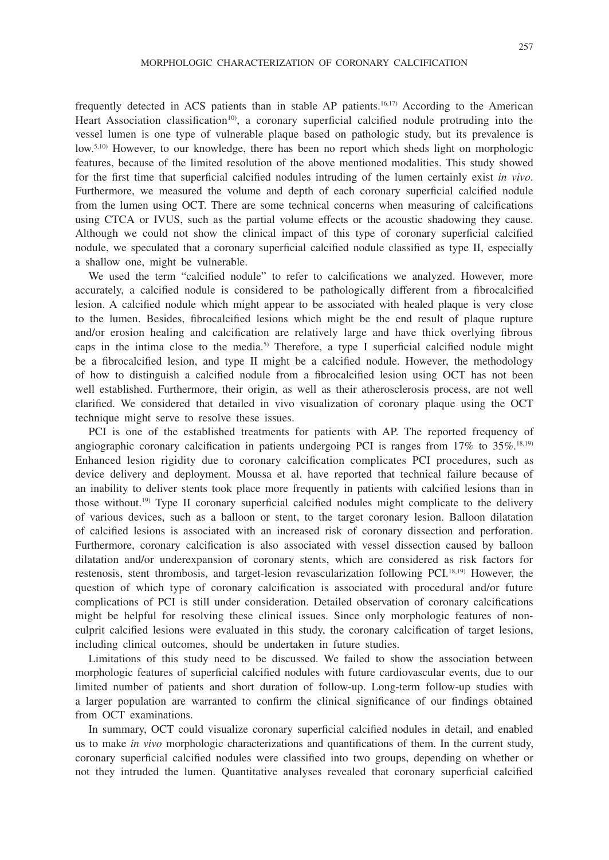frequently detected in ACS patients than in stable AP patients.16,17) According to the American Heart Association classification<sup>10</sup>, a coronary superficial calcified nodule protruding into the vessel lumen is one type of vulnerable plaque based on pathologic study, but its prevalence is low.<sup>5,10)</sup> However, to our knowledge, there has been no report which sheds light on morphologic features, because of the limited resolution of the above mentioned modalities. This study showed for the first time that superficial calcified nodules intruding of the lumen certainly exist *in vivo*. Furthermore, we measured the volume and depth of each coronary superficial calcified nodule from the lumen using OCT. There are some technical concerns when measuring of calcifications using CTCA or IVUS, such as the partial volume effects or the acoustic shadowing they cause. Although we could not show the clinical impact of this type of coronary superficial calcified nodule, we speculated that a coronary superficial calcified nodule classified as type II, especially a shallow one, might be vulnerable.

We used the term "calcified nodule" to refer to calcifications we analyzed. However, more accurately, a calcified nodule is considered to be pathologically different from a fibrocalcified lesion. A calcified nodule which might appear to be associated with healed plaque is very close to the lumen. Besides, fibrocalcified lesions which might be the end result of plaque rupture and/or erosion healing and calcification are relatively large and have thick overlying fibrous caps in the intima close to the media.<sup>5)</sup> Therefore, a type I superficial calcified nodule might be a fibrocalcified lesion, and type II might be a calcified nodule. However, the methodology of how to distinguish a calcified nodule from a fibrocalcified lesion using OCT has not been well established. Furthermore, their origin, as well as their atherosclerosis process, are not well clarified. We considered that detailed in vivo visualization of coronary plaque using the OCT technique might serve to resolve these issues.

PCI is one of the established treatments for patients with AP. The reported frequency of angiographic coronary calcification in patients undergoing PCI is ranges from  $17\%$  to  $35\%$ .<sup>18,19)</sup> Enhanced lesion rigidity due to coronary calcification complicates PCI procedures, such as device delivery and deployment. Moussa et al. have reported that technical failure because of an inability to deliver stents took place more frequently in patients with calcified lesions than in those without.19) Type II coronary superficial calcified nodules might complicate to the delivery of various devices, such as a balloon or stent, to the target coronary lesion. Balloon dilatation of calcified lesions is associated with an increased risk of coronary dissection and perforation. Furthermore, coronary calcification is also associated with vessel dissection caused by balloon dilatation and/or underexpansion of coronary stents, which are considered as risk factors for restenosis, stent thrombosis, and target-lesion revascularization following PCI.18,19) However, the question of which type of coronary calcification is associated with procedural and/or future complications of PCI is still under consideration. Detailed observation of coronary calcifications might be helpful for resolving these clinical issues. Since only morphologic features of nonculprit calcified lesions were evaluated in this study, the coronary calcification of target lesions, including clinical outcomes, should be undertaken in future studies.

Limitations of this study need to be discussed. We failed to show the association between morphologic features of superficial calcified nodules with future cardiovascular events, due to our limited number of patients and short duration of follow-up. Long-term follow-up studies with a larger population are warranted to confirm the clinical significance of our findings obtained from OCT examinations.

In summary, OCT could visualize coronary superficial calcified nodules in detail, and enabled us to make *in vivo* morphologic characterizations and quantifications of them. In the current study, coronary superficial calcified nodules were classified into two groups, depending on whether or not they intruded the lumen. Quantitative analyses revealed that coronary superficial calcified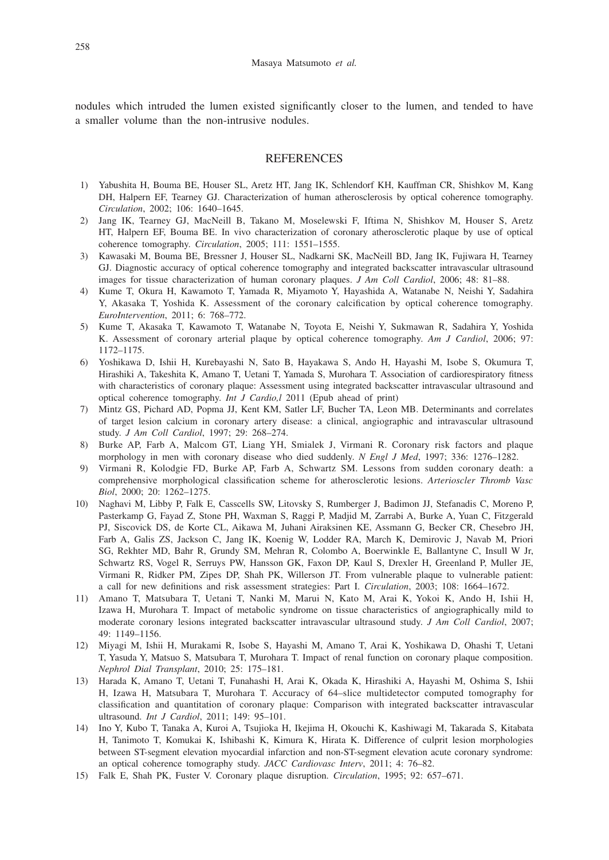nodules which intruded the lumen existed significantly closer to the lumen, and tended to have a smaller volume than the non-intrusive nodules.

### REFERENCES

- 1) Yabushita H, Bouma BE, Houser SL, Aretz HT, Jang IK, Schlendorf KH, Kauffman CR, Shishkov M, Kang DH, Halpern EF, Tearney GJ. Characterization of human atherosclerosis by optical coherence tomography. *Circulation*, 2002; 106: 1640–1645.
- 2) Jang IK, Tearney GJ, MacNeill B, Takano M, Moselewski F, Iftima N, Shishkov M, Houser S, Aretz HT, Halpern EF, Bouma BE. In vivo characterization of coronary atherosclerotic plaque by use of optical coherence tomography. *Circulation*, 2005; 111: 1551–1555.
- 3) Kawasaki M, Bouma BE, Bressner J, Houser SL, Nadkarni SK, MacNeill BD, Jang IK, Fujiwara H, Tearney GJ. Diagnostic accuracy of optical coherence tomography and integrated backscatter intravascular ultrasound images for tissue characterization of human coronary plaques. *J Am Coll Cardiol*, 2006; 48: 81–88.
- 4) Kume T, Okura H, Kawamoto T, Yamada R, Miyamoto Y, Hayashida A, Watanabe N, Neishi Y, Sadahira Y, Akasaka T, Yoshida K. Assessment of the coronary calcification by optical coherence tomography. *EuroIntervention*, 2011; 6: 768–772.
- 5) Kume T, Akasaka T, Kawamoto T, Watanabe N, Toyota E, Neishi Y, Sukmawan R, Sadahira Y, Yoshida K. Assessment of coronary arterial plaque by optical coherence tomography. *Am J Cardiol*, 2006; 97: 1172–1175.
- 6) Yoshikawa D, Ishii H, Kurebayashi N, Sato B, Hayakawa S, Ando H, Hayashi M, Isobe S, Okumura T, Hirashiki A, Takeshita K, Amano T, Uetani T, Yamada S, Murohara T. Association of cardiorespiratory fitness with characteristics of coronary plaque: Assessment using integrated backscatter intravascular ultrasound and optical coherence tomography. *Int J Cardio,l* 2011 (Epub ahead of print)
- 7) Mintz GS, Pichard AD, Popma JJ, Kent KM, Satler LF, Bucher TA, Leon MB. Determinants and correlates of target lesion calcium in coronary artery disease: a clinical, angiographic and intravascular ultrasound study. *J Am Coll Cardiol*, 1997; 29: 268–274.
- 8) Burke AP, Farb A, Malcom GT, Liang YH, Smialek J, Virmani R. Coronary risk factors and plaque morphology in men with coronary disease who died suddenly. *N Engl J Med*, 1997; 336: 1276–1282.
- 9) Virmani R, Kolodgie FD, Burke AP, Farb A, Schwartz SM. Lessons from sudden coronary death: a comprehensive morphological classification scheme for atherosclerotic lesions. *Arterioscler Thromb Vasc Biol*, 2000; 20: 1262–1275.
- 10) Naghavi M, Libby P, Falk E, Casscells SW, Litovsky S, Rumberger J, Badimon JJ, Stefanadis C, Moreno P, Pasterkamp G, Fayad Z, Stone PH, Waxman S, Raggi P, Madjid M, Zarrabi A, Burke A, Yuan C, Fitzgerald PJ, Siscovick DS, de Korte CL, Aikawa M, Juhani Airaksinen KE, Assmann G, Becker CR, Chesebro JH, Farb A, Galis ZS, Jackson C, Jang IK, Koenig W, Lodder RA, March K, Demirovic J, Navab M, Priori SG, Rekhter MD, Bahr R, Grundy SM, Mehran R, Colombo A, Boerwinkle E, Ballantyne C, Insull W Jr, Schwartz RS, Vogel R, Serruys PW, Hansson GK, Faxon DP, Kaul S, Drexler H, Greenland P, Muller JE, Virmani R, Ridker PM, Zipes DP, Shah PK, Willerson JT. From vulnerable plaque to vulnerable patient: a call for new definitions and risk assessment strategies: Part I. *Circulation*, 2003; 108: 1664–1672.
- 11) Amano T, Matsubara T, Uetani T, Nanki M, Marui N, Kato M, Arai K, Yokoi K, Ando H, Ishii H, Izawa H, Murohara T. Impact of metabolic syndrome on tissue characteristics of angiographically mild to moderate coronary lesions integrated backscatter intravascular ultrasound study. *J Am Coll Cardiol*, 2007; 49: 1149–1156.
- 12) Miyagi M, Ishii H, Murakami R, Isobe S, Hayashi M, Amano T, Arai K, Yoshikawa D, Ohashi T, Uetani T, Yasuda Y, Matsuo S, Matsubara T, Murohara T. Impact of renal function on coronary plaque composition. *Nephrol Dial Transplant*, 2010; 25: 175–181.
- 13) Harada K, Amano T, Uetani T, Funahashi H, Arai K, Okada K, Hirashiki A, Hayashi M, Oshima S, Ishii H, Izawa H, Matsubara T, Murohara T. Accuracy of 64–slice multidetector computed tomography for classification and quantitation of coronary plaque: Comparison with integrated backscatter intravascular ultrasound. *Int J Cardiol*, 2011; 149: 95–101.
- 14) Ino Y, Kubo T, Tanaka A, Kuroi A, Tsujioka H, Ikejima H, Okouchi K, Kashiwagi M, Takarada S, Kitabata H, Tanimoto T, Komukai K, Ishibashi K, Kimura K, Hirata K. Difference of culprit lesion morphologies between ST-segment elevation myocardial infarction and non-ST-segment elevation acute coronary syndrome: an optical coherence tomography study. *JACC Cardiovasc Interv*, 2011; 4: 76–82.
- 15) Falk E, Shah PK, Fuster V. Coronary plaque disruption. *Circulation*, 1995; 92: 657–671.